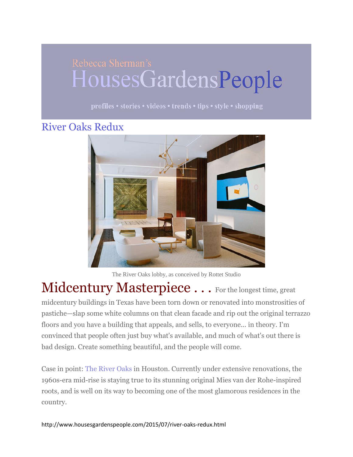## HousesGardensPeople

profiles • stories • videos • trends • tips • style • shopping

## [River Oaks Redux](http://www.housesgardenspeople.com/2015/07/river-oaks-redux.html)



The River Oaks lobby, as conceived by Rottet Studio

Midcentury Masterpiece . . . For the longest time, great midcentury buildings in Texas have been torn down or renovated into monstrosities of pastiche—slap some white columns on that clean facade and rip out the original terrazzo floors and you have a building that appeals, and sells, to everyone... in theory. I'm convinced that people often just buy what's available, and much of what's out there is bad design. Create something beautiful, and the people will come.

Case in point: [The River Oaks](http://www.theriveroaks.com/) in Houston. Currently under extensive renovations, the 1960s-era mid-rise is staying true to its stunning original Mies van der Rohe-inspired roots, and is well on its way to becoming one of the most glamorous residences in the country.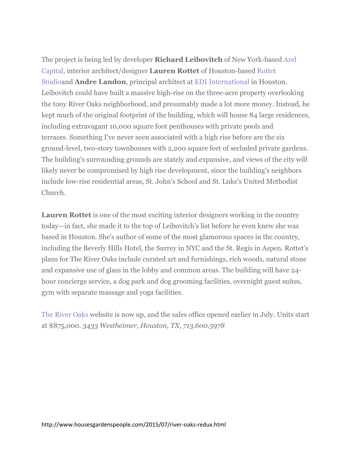The project is being led by developer **Richard Leibovitch** of New York-based [Arel](http://www.arelcapital.com/)  [Capital,](http://www.arelcapital.com/) interior architect/designer **Lauren Rottet** of Houston-based [Rottet](http://rottetstudio.com/)  [Studioa](http://rottetstudio.com/)nd **Andre Landon**, principal architect at [EDI International](http://www.edi-international.com/) in Houston. Leibovitch could have built a massive high-rise on the three-acre property overlooking the tony River Oaks neighborhood, and presumably made a lot more money. Instead, he kept much of the original footprint of the building, which will house 84 large residences, including extravagant 10,000 square foot penthouses with private pools and terraces. Something I've never seen associated with a high rise before are the six ground-level, two-story townhouses with 2,200 square feet of secluded private gardens. The building's surrounding grounds are stately and expansive, and views of the city will likely never be compromised by high rise development, since the building's neighbors include low-rise residential areas, St. John's School and St. Luke's United Methodist Church.

**Lauren Rottet** is one of the most exciting interior designers working in the country today—in fact, she made it to the top of Leibovitch's list before he even knew she was based in Houston. She's author of some of the most glamorous spaces in the country, including the Beverly Hills Hotel, the Surrey in NYC and the St. Regis in Aspen. Rottet's plans for The River Oaks include curated art and furnishings, rich woods, natural stone and expansive use of glass in the lobby and common areas. The building will have 24 hour concierge service, a dog park and dog grooming facilities, overnight guest suites, gym with separate massage and yoga facilities.

[The River Oaks](http://www.theriveroaks.com/) website is now up, and the sales office opened earlier in July. Units start at \$875,000. *3433 Westheimer, Houston, TX, 713.600.5978*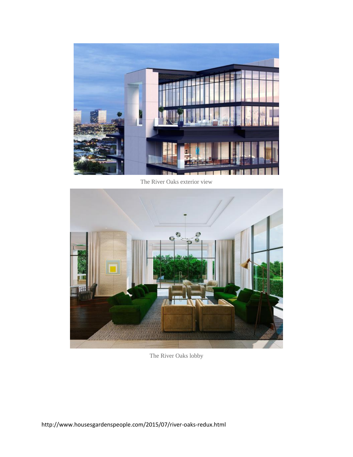

The River Oaks exterior view



The River Oaks lobby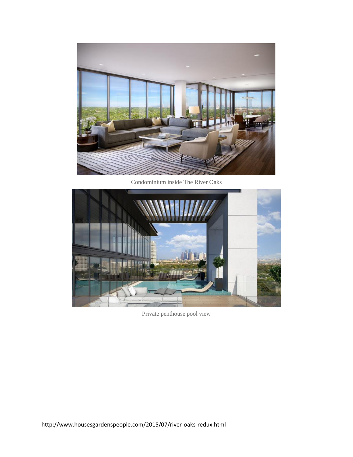

Condominium inside The River Oaks



Private penthouse pool view